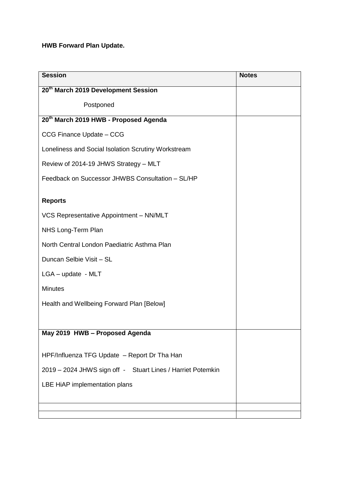## **HWB Forward Plan Update.**

| <b>Session</b>                                              | <b>Notes</b> |
|-------------------------------------------------------------|--------------|
| 20 <sup>th</sup> March 2019 Development Session             |              |
| Postponed                                                   |              |
| 20 <sup>th</sup> March 2019 HWB - Proposed Agenda           |              |
| CCG Finance Update - CCG                                    |              |
| Loneliness and Social Isolation Scrutiny Workstream         |              |
| Review of 2014-19 JHWS Strategy - MLT                       |              |
| Feedback on Successor JHWBS Consultation - SL/HP            |              |
| <b>Reports</b>                                              |              |
| VCS Representative Appointment - NN/MLT                     |              |
| NHS Long-Term Plan                                          |              |
| North Central London Paediatric Asthma Plan                 |              |
| Duncan Selbie Visit - SL                                    |              |
| $LGA$ – update - MLT                                        |              |
| <b>Minutes</b>                                              |              |
| Health and Wellbeing Forward Plan [Below]                   |              |
|                                                             |              |
| May 2019 HWB - Proposed Agenda                              |              |
| HPF/Influenza TFG Update - Report Dr Tha Han                |              |
| 2019 - 2024 JHWS sign off - Stuart Lines / Harriet Potemkin |              |
| LBE HiAP implementation plans                               |              |
|                                                             |              |
|                                                             |              |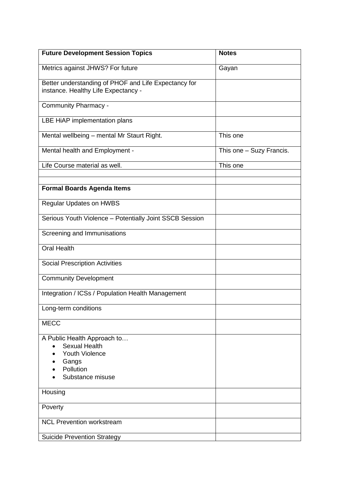| <b>Future Development Session Topics</b>                                                    | <b>Notes</b>             |
|---------------------------------------------------------------------------------------------|--------------------------|
| Metrics against JHWS? For future                                                            | Gayan                    |
| Better understanding of PHOF and Life Expectancy for<br>instance. Healthy Life Expectancy - |                          |
| Community Pharmacy -                                                                        |                          |
| LBE HiAP implementation plans                                                               |                          |
| Mental wellbeing - mental Mr Staurt Right.                                                  | This one                 |
| Mental health and Employment -                                                              | This one - Suzy Francis. |
| Life Course material as well.                                                               | This one                 |
|                                                                                             |                          |
| <b>Formal Boards Agenda Items</b>                                                           |                          |
| Regular Updates on HWBS                                                                     |                          |
| Serious Youth Violence - Potentially Joint SSCB Session                                     |                          |
| Screening and Immunisations                                                                 |                          |
| <b>Oral Health</b>                                                                          |                          |
| <b>Social Prescription Activities</b>                                                       |                          |
| <b>Community Development</b>                                                                |                          |
| Integration / ICSs / Population Health Management                                           |                          |
| Long-term conditions                                                                        |                          |
| <b>MECC</b>                                                                                 |                          |
| A Public Health Approach to                                                                 |                          |
| Sexual Health<br>$\bullet$                                                                  |                          |
| <b>Youth Violence</b><br>Gangs                                                              |                          |
| Pollution                                                                                   |                          |
| Substance misuse                                                                            |                          |
| Housing                                                                                     |                          |
| Poverty                                                                                     |                          |
| <b>NCL Prevention workstream</b>                                                            |                          |
| <b>Suicide Prevention Strategy</b>                                                          |                          |